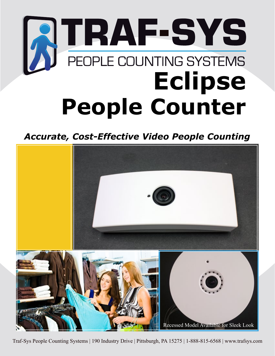## **ATRAF-SYS Eclipse People Counter**

*Accurate, Cost-Effective Video People Counting*



Traf-Sys People Counting Systems | 190 Industry Drive | Pittsburgh, PA 15275 | 1-888-815-6568 | www.trafsys.com